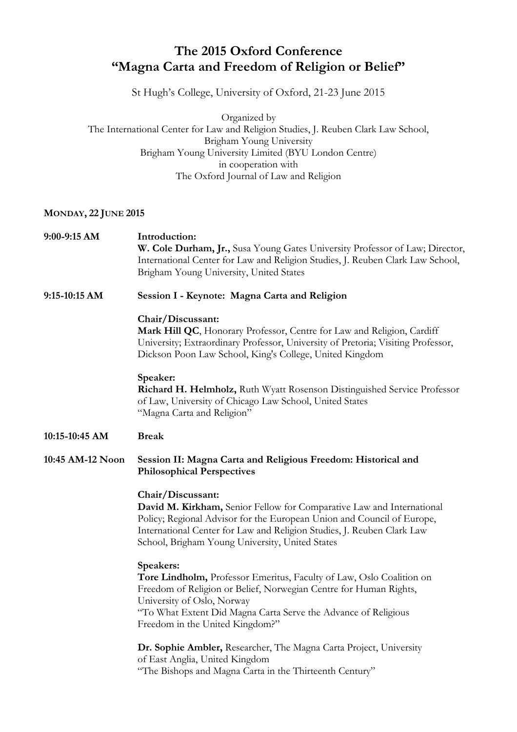## **The 2015 Oxford Conference "Magna Carta and Freedom of Religion or Belief"**

St Hugh's College, University of Oxford, 21-23 June 2015

Organized by The International Center for Law and Religion Studies, J. Reuben Clark Law School, Brigham Young University Brigham Young University Limited (BYU London Centre) in cooperation with The Oxford Journal of Law and Religion

## **MONDAY, 22 JUNE 2015**

| 9:00-9:15 AM     | Introduction:<br>W. Cole Durham, Jr., Susa Young Gates University Professor of Law; Director,<br>International Center for Law and Religion Studies, J. Reuben Clark Law School,<br>Brigham Young University, United States                                                                        |
|------------------|---------------------------------------------------------------------------------------------------------------------------------------------------------------------------------------------------------------------------------------------------------------------------------------------------|
| 9:15-10:15 AM    | Session I - Keynote: Magna Carta and Religion                                                                                                                                                                                                                                                     |
|                  | Chair/Discussant:<br>Mark Hill QC, Honorary Professor, Centre for Law and Religion, Cardiff<br>University; Extraordinary Professor, University of Pretoria; Visiting Professor,<br>Dickson Poon Law School, King's College, United Kingdom                                                        |
|                  | Speaker:<br>Richard H. Helmholz, Ruth Wyatt Rosenson Distinguished Service Professor<br>of Law, University of Chicago Law School, United States<br>"Magna Carta and Religion"                                                                                                                     |
| 10:15-10:45 AM   | <b>Break</b>                                                                                                                                                                                                                                                                                      |
| 10:45 AM-12 Noon | Session II: Magna Carta and Religious Freedom: Historical and<br><b>Philosophical Perspectives</b>                                                                                                                                                                                                |
|                  | Chair/Discussant:<br>David M. Kirkham, Senior Fellow for Comparative Law and International<br>Policy; Regional Advisor for the European Union and Council of Europe,<br>International Center for Law and Religion Studies, J. Reuben Clark Law<br>School, Brigham Young University, United States |
|                  | Speakers:<br>Tore Lindholm, Professor Emeritus, Faculty of Law, Oslo Coalition on<br>Freedom of Religion or Belief, Norwegian Centre for Human Rights,<br>University of Oslo, Norway<br>"To What Extent Did Magna Carta Serve the Advance of Religious<br>Freedom in the United Kingdom?"         |
|                  | Dr. Sophie Ambler, Researcher, The Magna Carta Project, University<br>of East Anglia, United Kingdom<br>"The Bishops and Magna Carta in the Thirteenth Century"                                                                                                                                   |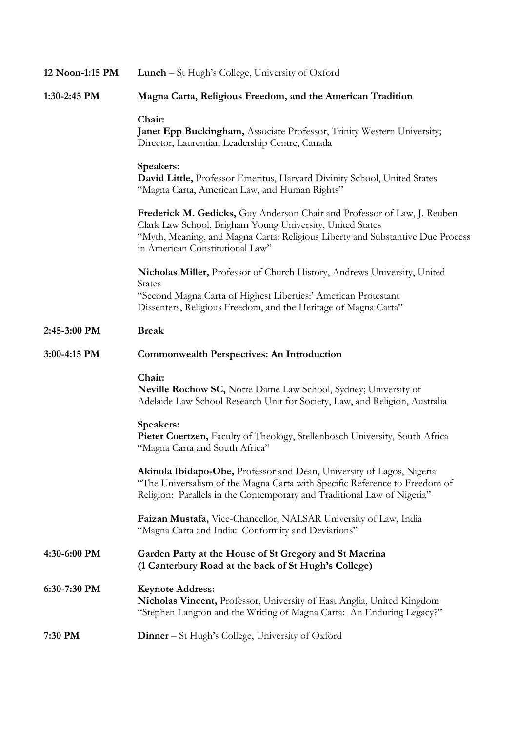| 12 Noon-1:15 PM | Lunch – St Hugh's College, University of Oxford                                                                                                                                                                                                            |
|-----------------|------------------------------------------------------------------------------------------------------------------------------------------------------------------------------------------------------------------------------------------------------------|
| 1:30-2:45 PM    | Magna Carta, Religious Freedom, and the American Tradition                                                                                                                                                                                                 |
|                 | Chair:<br>Janet Epp Buckingham, Associate Professor, Trinity Western University;<br>Director, Laurentian Leadership Centre, Canada                                                                                                                         |
|                 | Speakers:<br>David Little, Professor Emeritus, Harvard Divinity School, United States<br>"Magna Carta, American Law, and Human Rights"                                                                                                                     |
|                 | Frederick M. Gedicks, Guy Anderson Chair and Professor of Law, J. Reuben<br>Clark Law School, Brigham Young University, United States<br>"Myth, Meaning, and Magna Carta: Religious Liberty and Substantive Due Process<br>in American Constitutional Law" |
|                 | Nicholas Miller, Professor of Church History, Andrews University, United<br><b>States</b><br>"Second Magna Carta of Highest Liberties:' American Protestant<br>Dissenters, Religious Freedom, and the Heritage of Magna Carta"                             |
| 2:45-3:00 PM    | <b>Break</b>                                                                                                                                                                                                                                               |
| 3:00-4:15 PM    | <b>Commonwealth Perspectives: An Introduction</b>                                                                                                                                                                                                          |
|                 | Chair:<br>Neville Rochow SC, Notre Dame Law School, Sydney; University of<br>Adelaide Law School Research Unit for Society, Law, and Religion, Australia                                                                                                   |
|                 | Speakers:<br>Pieter Coertzen, Faculty of Theology, Stellenbosch University, South Africa<br>"Magna Carta and South Africa"                                                                                                                                 |
|                 | Akinola Ibidapo-Obe, Professor and Dean, University of Lagos, Nigeria<br>"The Universalism of the Magna Carta with Specific Reference to Freedom of<br>Religion: Parallels in the Contemporary and Traditional Law of Nigeria"                             |
|                 | Faizan Mustafa, Vice-Chancellor, NALSAR University of Law, India<br>"Magna Carta and India: Conformity and Deviations"                                                                                                                                     |
| 4:30-6:00 PM    | Garden Party at the House of St Gregory and St Macrina<br>(1 Canterbury Road at the back of St Hugh's College)                                                                                                                                             |
| 6:30-7:30 PM    | <b>Keynote Address:</b><br>Nicholas Vincent, Professor, University of East Anglia, United Kingdom<br>"Stephen Langton and the Writing of Magna Carta: An Enduring Legacy?"                                                                                 |
| 7:30 PM         | <b>Dinner</b> – St Hugh's College, University of Oxford                                                                                                                                                                                                    |